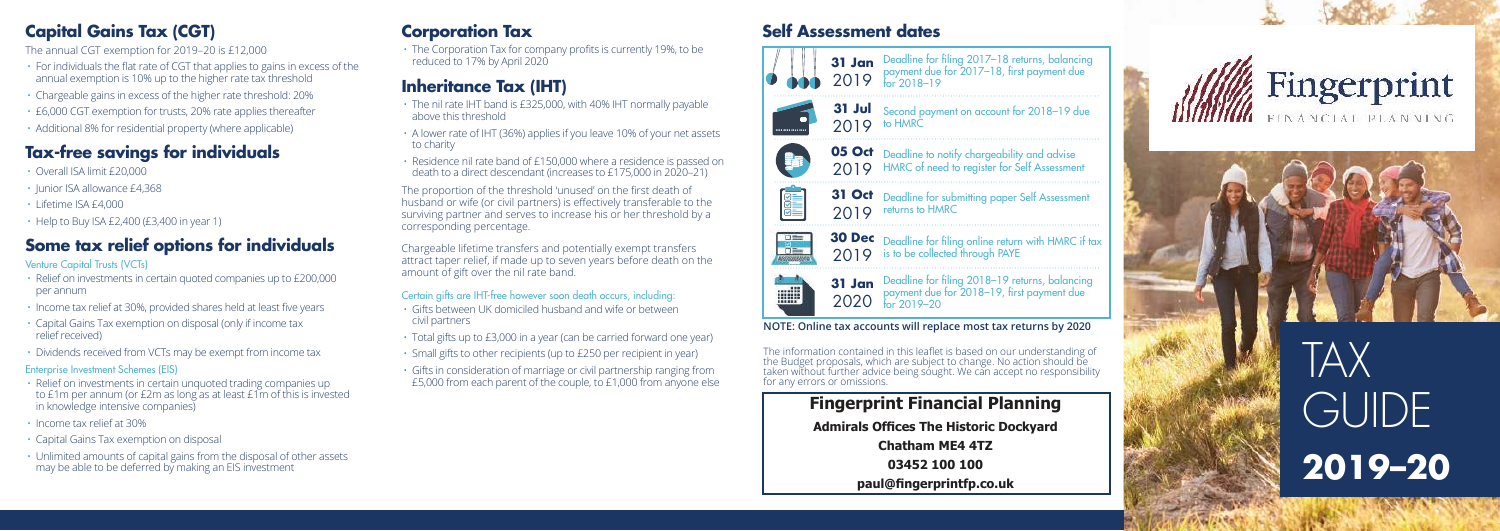### **Capital Gains Tax (CGT)**

The annual CGT exemption for 2019–20 is £12,000

- For individuals the flat rate of CGT that applies to gains in excess of the annual exemption is 10% up to the higher rate tax threshold
- Chargeable gains in excess of the higher rate threshold: 20%
- £6,000 CGT exemption for trusts, 20% rate applies thereafter
- Additional 8% for residential property (where applicable)

# **Tax-free savings for individuals**

- Overall ISA limit £20,000
- Junior ISA allowance £4,368
- Lifetime ISA £4,000
- Help to Buy ISA £2,400 (£3,400 in year 1)

# **Some tax relief options for individuals**

#### Venture Capital Trusts (VCTs)

- Relief on investments in certain quoted companies up to £200,000 per annum
- Income tax relief at 30%, provided shares held at least five years
- Capital Gains Tax exemption on disposal (only if income tax relief received)
- Dividends received from VCTs may be exempt from income tax

#### Enterprise Investment Schemes (EIS)

- Relief on investments in certain unquoted trading companies up to £1m per annum (or £2m as long as at least £1m of this is invested in knowledge intensive companies)
- Income tax relief at 30%
- Capital Gains Tax exemption on disposal
- Unlimited amounts of capital gains from the disposal of other assets may be able to be deferred by making an EIS investment

# **Corporation Tax**

• The Corporation Tax for company profits is currently 19%, to be reduced to 17% by April 2020

# **Inheritance Tax (IHT)**

- The nil rate IHT band is £325,000, with 40% IHT normally payable above this threshold
- A lower rate of IHT (36%) applies if you leave 10% of your net assets to charity
- Residence nil rate band of £150,000 where a residence is passed on death to a direct descendant (increases to £175,000 in 2020–21)

The proportion of the threshold 'unused' on the first death of husband or wife (or civil partners) is effectively transferable to the surviving partner and serves to increase his or her threshold by a corresponding percentage.

Chargeable lifetime transfers and potentially exempt transfers attract taper relief, if made up to seven years before death on the amount of gift over the nil rate band.

Certain gifts are IHT-free however soon death occurs, including: • Gifts between UK domiciled husband and wife or between civil partners

- Total gifts up to £3,000 in a year (can be carried forward one year)
- Small gifts to other recipients (up to £250 per recipient in year)
- Gifts in consideration of marriage or civil partnership ranging from £5,000 from each parent of the couple, to £1,000 from anyone else

# **Self Assessment dates**



**31 Jan** Deadline for filing 2017-18 returns, balancing  $2019$  payment due for  $2017-18$ , first payment due

**31 Jul** Second payment on account for 2018-19 due to HMRC

#### **05 Oct** Deadline to notify chargeability and advise HMRC of need to register for Self Assessment 2019

**31 Oct** Deadline for submitting paper Self Assessment 2019 returns to HMRC



**REAL** 

mil



**31 Jan** Deadline for filing 2018-19 returns, balancing payment due for 2018–19, first payment due for 2019–20 2020

**NOTE: Online tax accounts will replace most tax returns by 2020**

The information contained in this leaflet is based on our understanding of the Budget proposals, which are subject to change. No action should be taken without further advice being sought. We can accept no responsibility for any errors or omissions.

> **Fingerprint Financial Planning Admirals Offices The Historic Dockvard Chatham ME4 4T7** 03452 100 100  $pal@finaerprintfo.co.uk$





**2019–20**